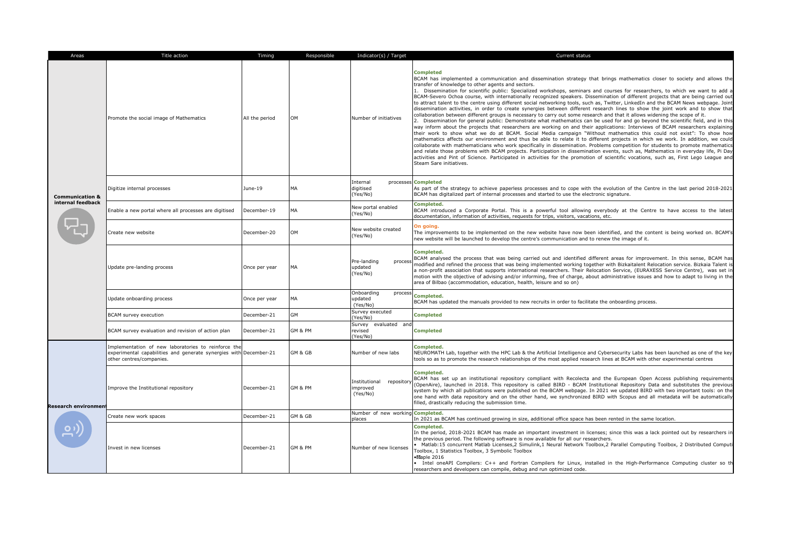| Areas                                           | Title action                                                                                                                                         | Timing         | Responsible | Indicator(s) / Target                             | Current status                                                                                                                                                                                                                                                                                                                                                                                                                                                                                                                                                                                                                                                                                                                                                                                                                                                                                                                                                                                                                                                                                                                                                                                                                                                                                                                                                                                                                                                                                                                                                                                                                                                                                                                                                                                                                                                       |
|-------------------------------------------------|------------------------------------------------------------------------------------------------------------------------------------------------------|----------------|-------------|---------------------------------------------------|----------------------------------------------------------------------------------------------------------------------------------------------------------------------------------------------------------------------------------------------------------------------------------------------------------------------------------------------------------------------------------------------------------------------------------------------------------------------------------------------------------------------------------------------------------------------------------------------------------------------------------------------------------------------------------------------------------------------------------------------------------------------------------------------------------------------------------------------------------------------------------------------------------------------------------------------------------------------------------------------------------------------------------------------------------------------------------------------------------------------------------------------------------------------------------------------------------------------------------------------------------------------------------------------------------------------------------------------------------------------------------------------------------------------------------------------------------------------------------------------------------------------------------------------------------------------------------------------------------------------------------------------------------------------------------------------------------------------------------------------------------------------------------------------------------------------------------------------------------------------|
| <b>Communication &amp;</b><br>internal feedback | Promote the social image of Mathematics                                                                                                              | All the period | OM          | Number of initiatives                             | <b>Completed</b><br>BCAM has implemented a communication and dissemination strategy that brings mathematics closer to society and allows the<br>transfer of knowledge to other agents and sectors.<br>1. Dissemination for scientific public: Specialized workshops, seminars and courses for researchers, to which we want to add a<br>BCAM-Severo Ochoa course, with internationally recognized speakers. Dissemination of different projects that are being carried out<br>to attract talent to the centre using different social networking tools, such as, Twitter, LinkedIn and the BCAM News webpage. Joint<br>dissemination activities, in order to create synergies between different research lines to show the joint work and to show that<br>collaboration between different groups is necessary to carry out some research and that it allows widening the scope of it.<br>2. Dissemination for general public: Demonstrate what mathematics can be used for and go beyond the scientific field, and in this<br>way inform about the projects that researchers are working on and their applications: Interviews of BCAM researchers explaining<br>their work to show what we do at BCAM. Social Media campaign "Without mathematics this could not exist": To show how<br>mathematics affects our environment and thus be able to relate it to different projects in which we work. In addition, we could<br>collaborate with mathematicians who work specifically in dissemination. Problems competition for students to promote mathematics<br>and relate those problems with BCAM projects. Participation in dissemination events, such as, Mathematics in everyday life, Pi Day<br>activities and Pint of Science. Participated in activities for the promotion of scientific vocations, such as, First Lego League and<br>Steam Sare initiatives. |
|                                                 | Digitize internal processes                                                                                                                          | June-19        | <b>MA</b>   | Internal<br>digitised<br>(Yes/No)                 | processes Completed<br>As part of the strategy to achieve paperless processes and to cope with the evolution of the Centre in the last period 2018-2021<br>BCAM has digitalized part of internal processes and started to use the electronic signature.                                                                                                                                                                                                                                                                                                                                                                                                                                                                                                                                                                                                                                                                                                                                                                                                                                                                                                                                                                                                                                                                                                                                                                                                                                                                                                                                                                                                                                                                                                                                                                                                              |
|                                                 | Enable a new portal where all processes are digitised                                                                                                | December-19    | <b>MA</b>   | New portal enabled<br>(Yes/No)                    | Completed.<br>BCAM introduced a Corporate Portal. This is a powerful tool allowing everybody at the Centre to have access to the latest<br>documentation, information of activities, requests for trips, visitors, vacations, etc.                                                                                                                                                                                                                                                                                                                                                                                                                                                                                                                                                                                                                                                                                                                                                                                                                                                                                                                                                                                                                                                                                                                                                                                                                                                                                                                                                                                                                                                                                                                                                                                                                                   |
|                                                 | Create new website                                                                                                                                   | December-20    | OM          | New website created<br>(Yes/No)                   | On going.<br>The improvements to be implemented on the new website have now been identified, and the content is being worked on. BCAM's<br>new website will be launched to develop the centre's communication and to renew the image of it.                                                                                                                                                                                                                                                                                                                                                                                                                                                                                                                                                                                                                                                                                                                                                                                                                                                                                                                                                                                                                                                                                                                                                                                                                                                                                                                                                                                                                                                                                                                                                                                                                          |
|                                                 | Update pre-landing process                                                                                                                           | Once per year  | MA          | Pre-landing<br>process<br>updated<br>(Yes/No)     | Completed.<br>BCAM analysed the process that was being carried out and identified different areas for improvement. In this sense, BCAM has<br>modified and refined the process that was being implemented working together with Bizkaitalent Relocation service. Bizkaia Talent is<br>a non-profit association that supports international researchers. Their Relocation Service, (EURAXESS Service Centre), was set in<br>motion with the objective of advising and/or informing, free of charge, about administrative issues and how to adapt to living in the<br>area of Bilbao (accommodation, education, health, leisure and so on)                                                                                                                                                                                                                                                                                                                                                                                                                                                                                                                                                                                                                                                                                                                                                                                                                                                                                                                                                                                                                                                                                                                                                                                                                             |
|                                                 | Update onboarding process                                                                                                                            | Once per year  | MA          | Onboarding<br>process<br>updated<br>(Yes/No)      | Completed.<br>BCAM has updated the manuals provided to new recruits in order to facilitate the onboarding process.                                                                                                                                                                                                                                                                                                                                                                                                                                                                                                                                                                                                                                                                                                                                                                                                                                                                                                                                                                                                                                                                                                                                                                                                                                                                                                                                                                                                                                                                                                                                                                                                                                                                                                                                                   |
|                                                 | BCAM survey execution                                                                                                                                | December-21    | <b>GM</b>   | Survey executed<br>(Yes/No)                       | <b>Completed</b>                                                                                                                                                                                                                                                                                                                                                                                                                                                                                                                                                                                                                                                                                                                                                                                                                                                                                                                                                                                                                                                                                                                                                                                                                                                                                                                                                                                                                                                                                                                                                                                                                                                                                                                                                                                                                                                     |
|                                                 | BCAM survey evaluation and revision of action plan                                                                                                   | December-21    | GM & PM     | Survey<br>evaluated and<br>revised<br>(Yes/No)    | <b>Completed</b>                                                                                                                                                                                                                                                                                                                                                                                                                                                                                                                                                                                                                                                                                                                                                                                                                                                                                                                                                                                                                                                                                                                                                                                                                                                                                                                                                                                                                                                                                                                                                                                                                                                                                                                                                                                                                                                     |
| <b>Research environment</b>                     | Implementation of new laboratories to reinforce the<br>experimental capabilities and generate synergies with December-21<br>other centres/companies. |                | GM & GB     | Number of new labs                                | <b>Completed.</b><br>NEUROMATH Lab, together with the HPC Lab & the Artificial Intelligence and Cybersecurity Labs has been launched as one of the key<br>tools so as to promote the research relationships of the most applied research lines at BCAM with other experimental centres                                                                                                                                                                                                                                                                                                                                                                                                                                                                                                                                                                                                                                                                                                                                                                                                                                                                                                                                                                                                                                                                                                                                                                                                                                                                                                                                                                                                                                                                                                                                                                               |
|                                                 | Improve the Institutional repository                                                                                                                 | December-21    | GM & PM     | repositor<br>Institutional<br>mproved<br>(Yes/No) | Completed.<br>BCAM has set up an institutional repository compliant with Recolecta and the European Open Access publishing requirements<br>(OpenAire), launched in 2018. This repository is called BIRD - BCAM Institutional Repository Data and substitutes the previous<br>system by which all publications were published on the BCAM webpage. In 2021 we updated BIRD with two important tools: on the<br>one hand with data repository and on the other hand, we synchronized BIRD with Scopus and all metadata will be automatically<br>filled, drastically reducing the submission time.                                                                                                                                                                                                                                                                                                                                                                                                                                                                                                                                                                                                                                                                                                                                                                                                                                                                                                                                                                                                                                                                                                                                                                                                                                                                      |
|                                                 | Create new work spaces                                                                                                                               | December-21    | GM & GB     | Number of new working<br>places                   | <b>Completed</b><br>In 2021 as BCAM has continued growing in size, additional office space has been rented in the same location.                                                                                                                                                                                                                                                                                                                                                                                                                                                                                                                                                                                                                                                                                                                                                                                                                                                                                                                                                                                                                                                                                                                                                                                                                                                                                                                                                                                                                                                                                                                                                                                                                                                                                                                                     |
|                                                 | Invest in new licenses                                                                                                                               | December-21    | GM & PM     | Number of new licenses                            | <b>Completed.</b><br>In the period, 2018-2021 BCAM has made an important investment in licenses; since this was a lack pointed out by researchers in<br>the previous period. The following software is now available for all our researchers.<br>· Matlab:15 concurrent Matlab Licenses,2 Simulink,1 Neural Network Toolbox,2 Parallel Computing Toolbox, 2 Distributed Computi<br>Toolbox, 1 Statistics Toolbox, 3 Symbolic Toolbox<br>·Maple 2016<br>• Intel oneAPI Compilers: C++ and Fortran Compilers for Linux, installed in the High-Performance Computing cluster so th<br>researchers and developers can compile, debug and run optimized code.                                                                                                                                                                                                                                                                                                                                                                                                                                                                                                                                                                                                                                                                                                                                                                                                                                                                                                                                                                                                                                                                                                                                                                                                             |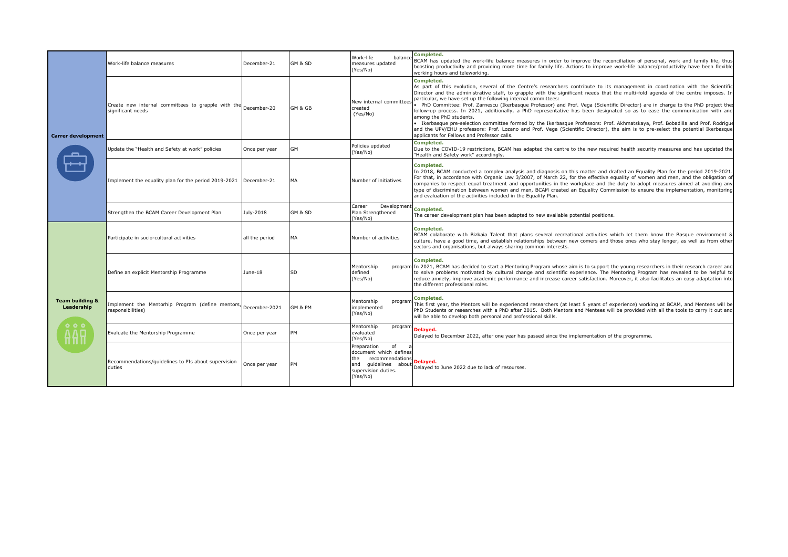| <b>Carrer development</b>                                                       | Work-life balance measures                                                          | December-21    | GM & SD   | Work-life<br>balance<br>measures updated<br>(Yes/No)                                                                             | Completed.<br>BCAM has updated the work-life balance measures in order to improve the reconciliation of personal, work and family life, thus<br>boosting productivity and providing more time for family life. Actions to improve work-life balance/productivity have been flexible<br>working hours and teleworking.                                                                                                                                                                                                                                                                                                                                                                                                                                                                                                                                                                                                                                                |
|---------------------------------------------------------------------------------|-------------------------------------------------------------------------------------|----------------|-----------|----------------------------------------------------------------------------------------------------------------------------------|----------------------------------------------------------------------------------------------------------------------------------------------------------------------------------------------------------------------------------------------------------------------------------------------------------------------------------------------------------------------------------------------------------------------------------------------------------------------------------------------------------------------------------------------------------------------------------------------------------------------------------------------------------------------------------------------------------------------------------------------------------------------------------------------------------------------------------------------------------------------------------------------------------------------------------------------------------------------|
|                                                                                 | Create new internal committees to grapple with the December-20<br>significant needs |                | GM & GB   | New internal committee:<br>created<br>(Yes/No)                                                                                   | Completed.<br>As part of this evolution, several of the Centre's researchers contribute to its management in coordination with the Scientific<br>Director and the administrative staff, to grapple with the significant needs that the multi-fold agenda of the centre imposes. In<br>particular, we have set up the following internal committees:<br>PhD Committee: Prof. Zarnescu (Ikerbasque Professor) and Prof. Vega (Scientific Director) are in charge to the PhD project thes<br>follow-up process. In 2021, additionally, a PhD representative has been designated so as to ease the communication with and<br>among the PhD students.<br>Ikerbasque pre-selection committee formed by the Ikerbasque Professors: Prof. Akhmatskaya, Prof. Bobadilla and Prof. Rodrigue<br>and the UPV/EHU professors: Prof. Lozano and Prof. Vega (Scientific Director), the aim is to pre-select the potential Ikerbasque<br>applicants for Fellows and Professor calls. |
|                                                                                 | Update the "Health and Safety at work" policies                                     | Once per year  | GM        | Policies updated<br>(Yes/No)                                                                                                     | Completed.<br>Due to the COVID-19 restrictions, BCAM has adapted the centre to the new required health security measures and has updated the<br>"Health and Safety work" accordingly.                                                                                                                                                                                                                                                                                                                                                                                                                                                                                                                                                                                                                                                                                                                                                                                |
|                                                                                 | Implement the equality plan for the period 2019-2021                                | December-21    | MA        | Number of initiatives                                                                                                            | Completed.<br>In 2018, BCAM conducted a complex analysis and diagnosis on this matter and drafted an Equality Plan for the period 2019-2021.<br>For that, in accordance with Organic Law 3/2007, of March 22, for the effective equality of women and men, and the obligation of<br>companies to respect equal treatment and opportunities in the workplace and the duty to adopt measures aimed at avoiding any<br>type of discrimination between women and men, BCAM created an Equality Commission to ensure the implementation, monitoring<br>and evaluation of the activities included in the Equality Plan.                                                                                                                                                                                                                                                                                                                                                    |
|                                                                                 | Strengthen the BCAM Career Development Plan                                         | July-2018      | GM & SD   | Career<br>Development<br>Plan Strengthened<br>(Yes/No)                                                                           | Completed.<br>The career development plan has been adapted to new available potential positions.                                                                                                                                                                                                                                                                                                                                                                                                                                                                                                                                                                                                                                                                                                                                                                                                                                                                     |
| <b>Team building &amp;</b><br>Leadership<br>0 <sub>0</sub><br><b>AAO</b><br>uпп | Participate in socio-cultural activities                                            | all the period | MА        | Number of activities                                                                                                             | Completed.<br>BCAM colaborate with Bizkaia Talent that plans several recreational activities which let them know the Basque environment 8<br>culture, have a good time, and establish relationships between new comers and those ones who stay longer, as well as from other<br>sectors and organisations, but always sharing common interests.                                                                                                                                                                                                                                                                                                                                                                                                                                                                                                                                                                                                                      |
|                                                                                 | Define an explicit Mentorship Programme                                             | June-18        | <b>SD</b> | Mentorship<br>defined<br>(Yes/No)                                                                                                | Completed.<br>program In 2021, BCAM has decided to start a Mentoring Program whose aim is to support the young researchers in their research career and<br>to solve problems motivated by cultural change and scientific experience. The Mentoring Program has revealed to be helpful to<br>reduce anxiety, improve academic performance and increase career satisfaction. Moreover, it also facilitates an easy adaptation into<br>the different professional roles.                                                                                                                                                                                                                                                                                                                                                                                                                                                                                                |
|                                                                                 | Implement the Mentorhip Program (define mentors,<br>responsibilities)               | December-2021  | GM & PM   | Mentorship<br>program<br>implemented<br>(Yes/No)                                                                                 | Completed.<br>This first year, the Mentors will be experienced researchers (at least 5 years of experience) working at BCAM, and Mentees will be<br>PhD Students or researches with a PhD after 2015. Both Mentors and Mentees will be provided with all the tools to carry it out and<br>will be able to develop both personal and professional skills.                                                                                                                                                                                                                                                                                                                                                                                                                                                                                                                                                                                                             |
|                                                                                 | Evaluate the Mentorship Programme                                                   | Once per year  | PM        | Mentorship<br>program<br>evaluated<br>(Yes/No)                                                                                   | Delayed.<br>Delayed to December 2022, after one year has passed since the implementation of the programme.                                                                                                                                                                                                                                                                                                                                                                                                                                                                                                                                                                                                                                                                                                                                                                                                                                                           |
|                                                                                 | Recommendations/guidelines to PIs about supervision<br>duties                       | Once per year  | PМ        | of<br>Preparation<br>document which defines<br>the<br>recommendations<br>and guidelines about<br>supervision duties.<br>(Yes/No) | Delayed.<br>Delayed to June 2022 due to lack of resourses.                                                                                                                                                                                                                                                                                                                                                                                                                                                                                                                                                                                                                                                                                                                                                                                                                                                                                                           |